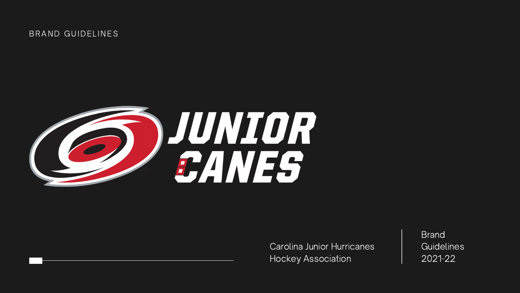## BRAND GUIDELINES



Carolina Junior Hurricanes Hockey Association

**Brand Guidelines** 2021-22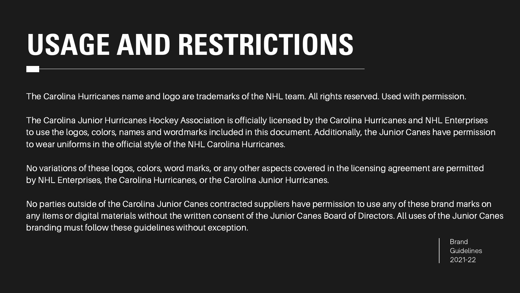# **USAGE AND RESTRICTIONS**

Brand **Guidelines** 2021-22

The Carolina Hurricanes name and logo are trademarks of the NHL team. All rights reserved. Used with permission.

The Carolina Junior Hurricanes Hockey Association is officially licensed by the Carolina Hurricanes and NHL Enterprises to use the logos, colors, names and wordmarks included in this document. Additionally, the Junior Canes have permission to wear uniforms in the official style of the NHL Carolina Hurricanes.

No variations of these logos, colors, word marks, or any other aspects covered in the licensing agreement are permitted by NHL Enterprises, the Carolina Hurricanes, or the Carolina Junior Hurricanes.

No parties outside of the Carolina Junior Canes contracted suppliers have permission to use any of these brand marks on any items or digital materials without the written consent of the Junior Canes Board of Directors. All uses of the Junior Canes branding must follow these guidelines without exception.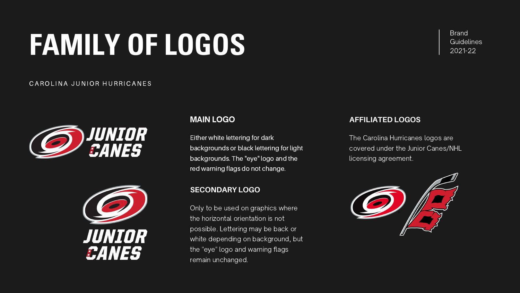Brand

# Guidelines **FAMILY OF LOGOS** 2021-22

#### CAROLINA JUNIOR HURRICANES





Either white lettering for dark backgrounds or black lettering for light backgrounds. The "eye" logo and the red warning flags do not change.

The Carolina Hurricanes logos are covered under the Junior Canes/NHL licensing agreement.



## MAIN LOGO

Only to be used on graphics where the horizontal orientation is not possible. Lettering may be back or white depending on background, but the "eye" logo and warning flags remain unchanged.

### **SECONDARY LOGO**

## **AFFILIATED LOGOS**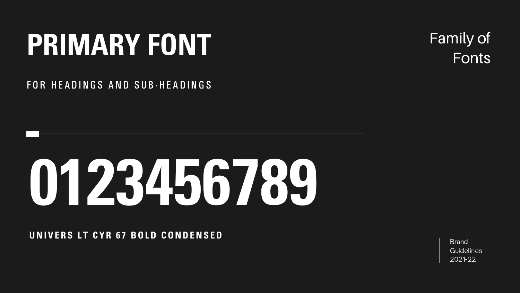**Brand Guidelines** 2021-22

# **PRIMARY FONT**

## FOR HEADINGS AND SUB-HEADINGS

# Family of **Fonts**

# **0123456789**

## **UNI V E R S L T C Y R 6 7 BOLD CONDENS ED**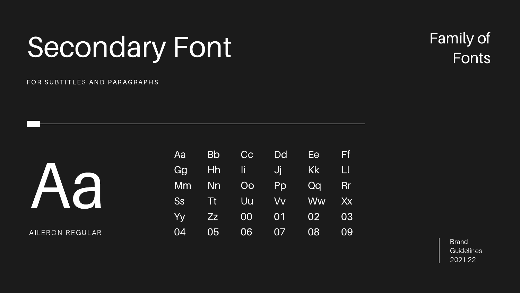**Brand** Guidelines 2021-22

# Secondary Font

### FOR SUBTITLES AND PARAGRAPHS

| Aa        | <b>Bb</b> | Cc | Dd        | Ee        | Ff     |
|-----------|-----------|----|-----------|-----------|--------|
| Gg        | Hh        | IĬ | Ji        | <b>Kk</b> | $\Box$ |
| Mm        | Nn        | Oo | Pp        | Qq        | Rr     |
| <b>Ss</b> | Tt        | Uu | <b>VV</b> | <b>Ww</b> | Xx     |
| Yy        | Zz        | 00 | 01        | 02        | 03     |
| 04        | 05        | 06 | 07        | 08        | 09     |

![](_page_4_Picture_2.jpeg)

AILERON REGULAR

# Family of Fonts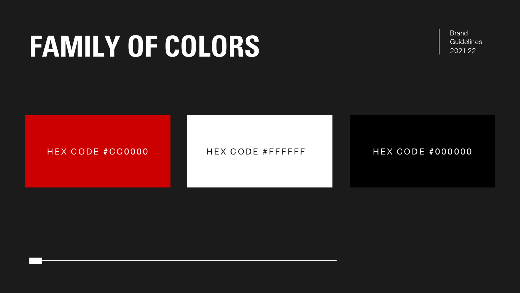# **FAMILY OF COLORS**

## H EX CODE #CC0000 HEX CODE #FFFFFF HEX CODE #000000

Brand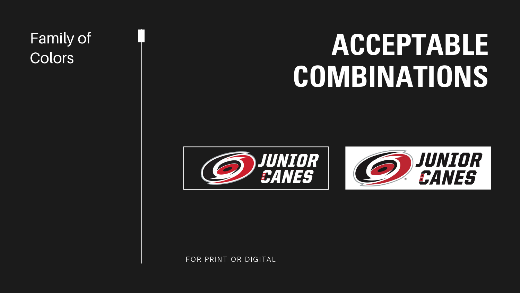# **ACCEPTABLE COMBINATIONS**

# Family of **Colors**

![](_page_6_Picture_5.jpeg)

![](_page_6_Picture_1.jpeg)

![](_page_6_Picture_2.jpeg)

### FOR PRINT OR DIGITAL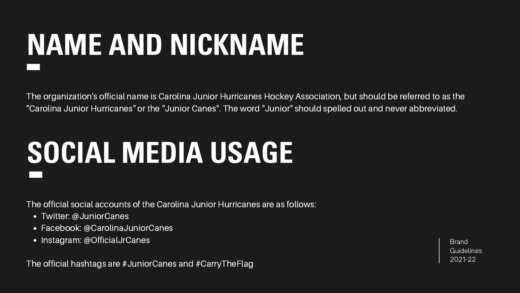# **NAME AND NICKNAME**

Brand **Guidelines** 2021-22

- Twitter: @JuniorCanes
- Facebook: @CarolinaJuniorCanes
- Instagram: @OfficialJrCanes

The organization's official name is Carolina Junior Hurricanes Hockey Association, but should be referred to as the "Carolina Junior Hurricanes" or the "Junior Canes". The word "Junior" should spelled out and never abbreviated.

# **SOCIAL MEDIA USAGE**

The official social accounts of the Carolina Junior Hurricanes are as follows:

The official hashtags are #JuniorCanes and #CarryTheFlag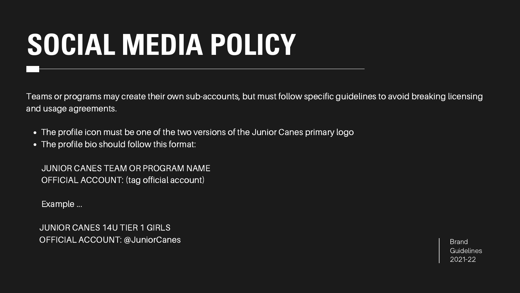# **SOCIAL MEDIA POLICY**

Brand **Guidelines** 2021-22

JUNIOR CANES 14U TIER 1 GIRLS OFFICIAL ACCOUNT: @JuniorCanes

Teams or programs may create their own sub-accounts, but must follow specific guidelines to avoid breaking licensing and usage agreements.

- The profile icon must be one of the two versions of the Junior Canes primary logo
- The profile bio should follow this format:

JUNIOR CANES TEAM OR PROGRAM NAME OFFICIAL ACCOUNT: (tag official account)

Example ...